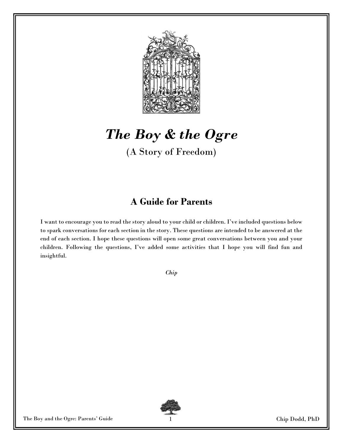

# The Boy & the Ogre

(A Story of Freedom)

### A Guide for Parents

I want to encourage you to read the story aloud to your child or children. I've included questions below to spark conversations for each section in the story. These questions are intended to be answered at the end of each section. I hope these questions will open some great conversations between you and your children. Following the questions, I've added some activities that I hope you will find fun and insightful.

Chip



The Boy and the Ogre: Parents' Guide 1 Chip Dodd, PhD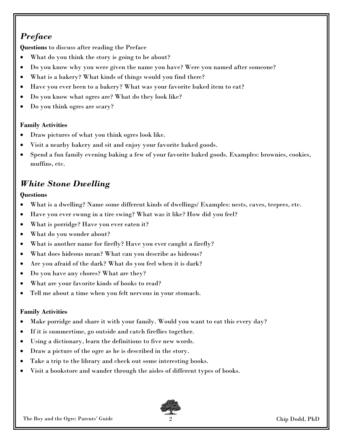### **Preface**

Questions to discuss after reading the Preface

- What do you think the story is going to be about?
- Do you know why you were given the name you have? Were you named after someone?
- What is a bakery? What kinds of things would you find there?
- Have you ever been to a bakery? What was your favorite baked item to eat?
- Do you know what ogres are? What do they look like?
- Do you think ogres are scary?

#### Family Activities

- Draw pictures of what you think ogres look like.
- Visit a nearby bakery and sit and enjoy your favorite baked goods.
- Spend a fun family evening baking a few of your favorite baked goods. Examples: brownies, cookies, muffins, etc.

### White Stone Dwelling

#### **Ouestions**

- What is a dwelling? Name some different kinds of dwellings/ Examples: nests, caves, teepees, etc.
- Have you ever swung in a tire swing? What was it like? How did you feel?
- What is porridge? Have you ever eaten it?
- What do you wonder about?
- What is another name for firefly? Have you ever caught a firefly?
- What does hideous mean? What can you describe as hideous?
- Are you afraid of the dark? What do you feel when it is dark?
- Do you have any chores? What are they?
- What are your favorite kinds of books to read?
- Tell me about a time when you felt nervous in your stomach.

#### Family Activities

- Make porridge and share it with your family. Would you want to eat this every day?
- If it is summertime, go outside and catch fireflies together.
- Using a dictionary, learn the definitions to five new words.
- Draw a picture of the ogre as he is described in the story.
- Take a trip to the library and check out some interesting books.
- Visit a bookstore and wander through the aisles of different types of books.

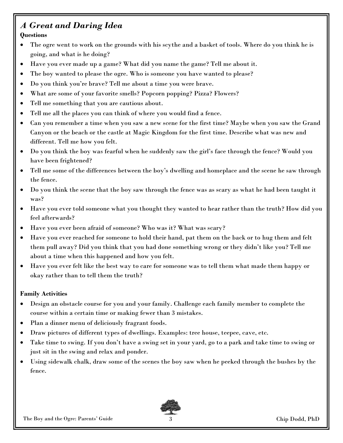#### A Great and Daring Idea **Questions**

- The ogre went to work on the grounds with his scythe and a basket of tools. Where do you think he is going, and what is he doing?
- Have you ever made up a game? What did you name the game? Tell me about it.
- The boy wanted to please the ogre. Who is someone you have wanted to please?
- Do you think you're brave? Tell me about a time you were brave.
- What are some of your favorite smells? Popcorn popping? Pizza? Flowers?
- Tell me something that you are cautious about.
- Tell me all the places you can think of where you would find a fence.
- Can you remember a time when you saw a new scene for the first time? Maybe when you saw the Grand Canyon or the beach or the castle at Magic Kingdom for the first time. Describe what was new and different. Tell me how you felt.
- Do you think the boy was fearful when he suddenly saw the girl's face through the fence? Would you have been frightened?
- Tell me some of the differences between the boy's dwelling and homeplace and the scene he saw through the fence.
- Do you think the scene that the boy saw through the fence was as scary as what he had been taught it was?
- Have you ever told someone what you thought they wanted to hear rather than the truth? How did you feel afterwards?
- Have you ever been afraid of someone? Who was it? What was scary?
- Have you ever reached for someone to hold their hand, pat them on the back or to hug them and felt them pull away? Did you think that you had done something wrong or they didn't like you? Tell me about a time when this happened and how you felt.
- Have you ever felt like the best way to care for someone was to tell them what made them happy or okay rather than to tell them the truth?

#### Family Activities

- Design an obstacle course for you and your family. Challenge each family member to complete the course within a certain time or making fewer than 3 mistakes.
- Plan a dinner menu of deliciously fragrant foods.
- Draw pictures of different types of dwellings. Examples: tree house, teepee, cave, etc.
- Take time to swing. If you don't have a swing set in your yard, go to a park and take time to swing or just sit in the swing and relax and ponder.
- Using sidewalk chalk, draw some of the scenes the boy saw when he peeked through the bushes by the fence.

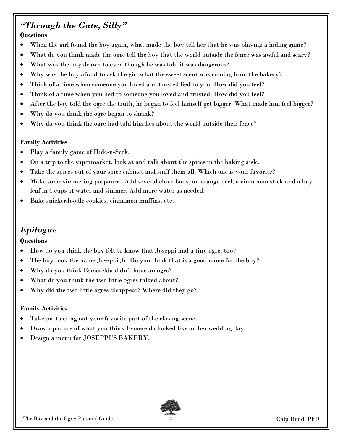## "Through the Gate, Silly"

#### **Ouestions**

- When the girl found the boy again, what made the boy tell her that he was playing a hiding game?
- What do you think made the ogre tell the boy that the world outside the fence was awful and scary?
- What was the boy drawn to even though he was told it was dangerous?
- Why was the boy afraid to ask the girl what the sweet scent was coming from the bakery?
- Think of a time when someone you loved and trusted lied to you. How did you feel?
- Think of a time when you lied to someone you loved and trusted. How did you feel?
- After the boy told the ogre the truth, he began to feel himself get bigger. What made him feel bigger?
- Why do you think the ogre began to shrink?
- Why do you think the ogre had told him lies about the world outside their fence?

#### Family Activities

- Play a family game of Hide-n-Seek.
- On a trip to the supermarket, look at and talk about the spices in the baking aisle.
- Take the spices out of your spice cabinet and sniff them all. Which one is your favorite?
- Make some simmering potpourri. Add several clove buds, an orange peel, a cinnamon stick and a bay leaf in 4 cups of water and simmer. Add more water as needed.
- Bake snickerdoodle cookies, cinnamon muffins, etc.

### Epilogue

#### **Questions**

- How do you think the boy felt to know that Joseppi had a tiny ogre, too?
- The boy took the name Joseppi Jr. Do you think that is a good name for the boy?
- Why do you think Esmerelda didn't have an ogre?
- What do you think the two little ogres talked about?
- Why did the two little ogres disappear? Where did they go?

#### Family Activities

- Take part acting out your favorite part of the closing scene.
- Draw a picture of what you think Esmerelda looked like on her wedding day.
- Design a menu for JOSEPPI'S BAKERY.